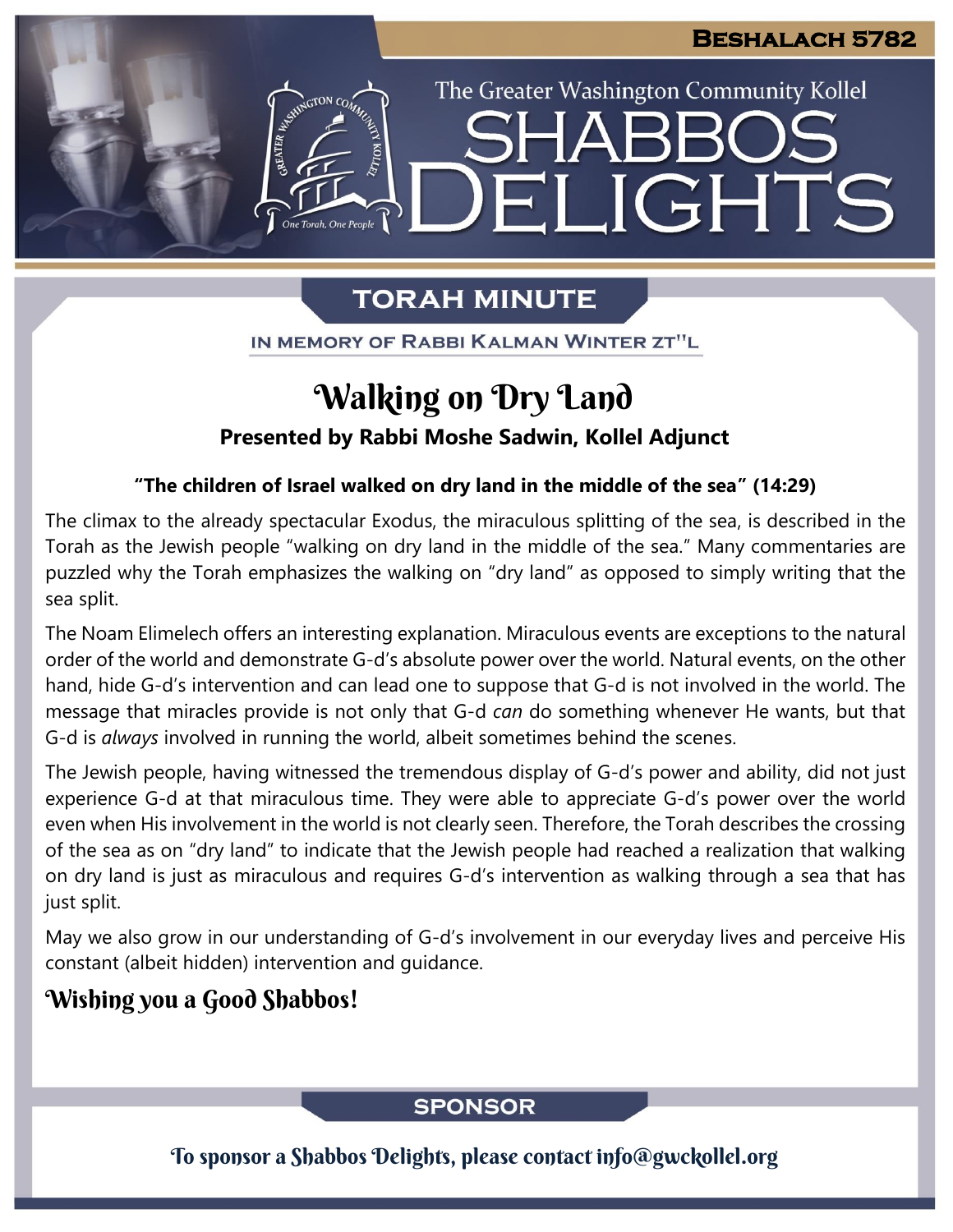The Greater Washington Community Kollel

ELIGHTS

# **TORAH MINUTE**

IN MEMORY OF RABBI KALMAN WINTER ZT"L

# Walking on Dry Land

## **Presented by Rabbi Moshe Sadwin, Kollel Adjunct**

## **"The children of Israel walked on dry land in the middle of the sea" (14:29)**

The climax to the already spectacular Exodus, the miraculous splitting of the sea, is described in the Torah as the Jewish people "walking on dry land in the middle of the sea." Many commentaries are puzzled why the Torah emphasizes the walking on "dry land" as opposed to simply writing that the sea split.

The Noam Elimelech offers an interesting explanation. Miraculous events are exceptions to the natural order of the world and demonstrate G-d's absolute power over the world. Natural events, on the other hand, hide G-d's intervention and can lead one to suppose that G-d is not involved in the world. The message that miracles provide is not only that G-d *can* do something whenever He wants, but that G-d is *always* involved in running the world, albeit sometimes behind the scenes.

The Jewish people, having witnessed the tremendous display of G-d's power and ability, did not just experience G-d at that miraculous time. They were able to appreciate G-d's power over the world even when His involvement in the world is not clearly seen. Therefore, the Torah describes the crossing of the sea as on "dry land" to indicate that the Jewish people had reached a realization that walking on dry land is just as miraculous and requires G-d's intervention as walking through a sea that has just split.

May we also grow in our understanding of G-d's involvement in our everyday lives and perceive His constant (albeit hidden) intervention and guidance.

# Wishing you a Good Shabbos!

## **SPONSOR**

To sponsor a Shabbos Delights, please contact info@gwckollel.org